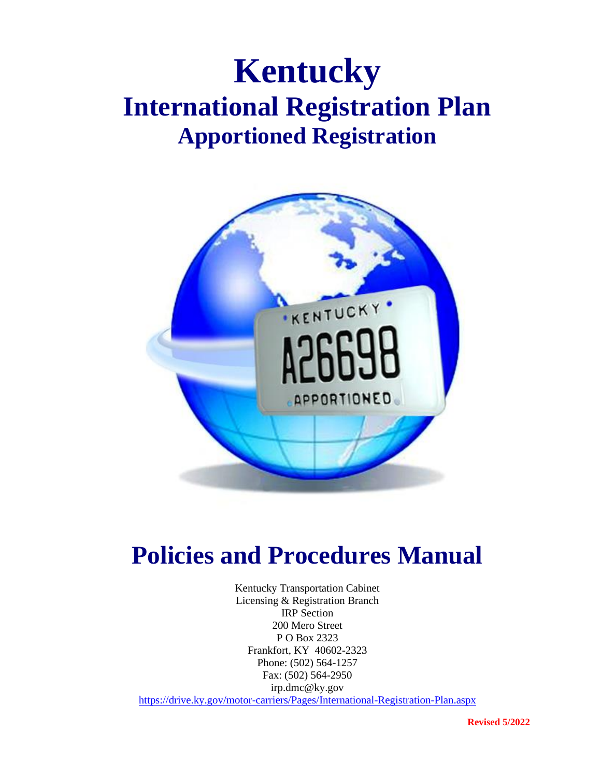# **Kentucky International Registration Plan Apportioned Registration**



# **Policies and Procedures Manual**

Kentucky Transportation Cabinet Licensing & Registration Branch IRP Section 200 Mero Street P O Box 2323 Frankfort, KY 40602-2323 Phone: (502) 564-1257 Fax: (502) 564-2950 irp.dmc@ky.gov <https://drive.ky.gov/motor-carriers/Pages/International-Registration-Plan.aspx>

**Revised 5/2022**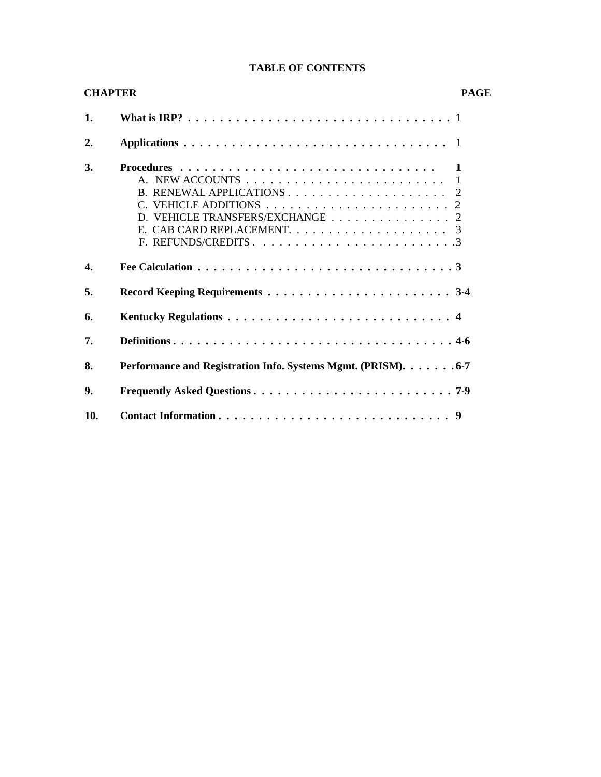| <b>CHAPTER</b> |                                                                                             | <b>PAGE</b> |  |
|----------------|---------------------------------------------------------------------------------------------|-------------|--|
| 1.             | What is IRP? $\ldots \ldots \ldots \ldots \ldots \ldots \ldots \ldots \ldots \ldots \ldots$ |             |  |
| 2.             |                                                                                             |             |  |
| 3.             | D. VEHICLE TRANSFERS/EXCHANGE 2                                                             |             |  |
| 4.             |                                                                                             |             |  |
| 5.             |                                                                                             |             |  |
| 6.             |                                                                                             |             |  |
| 7.             |                                                                                             |             |  |
| 8.             | Performance and Registration Info. Systems Mgmt. (PRISM). 6-7                               |             |  |
| 9.             |                                                                                             |             |  |
| 10.            |                                                                                             |             |  |

### **TABLE OF CONTENTS**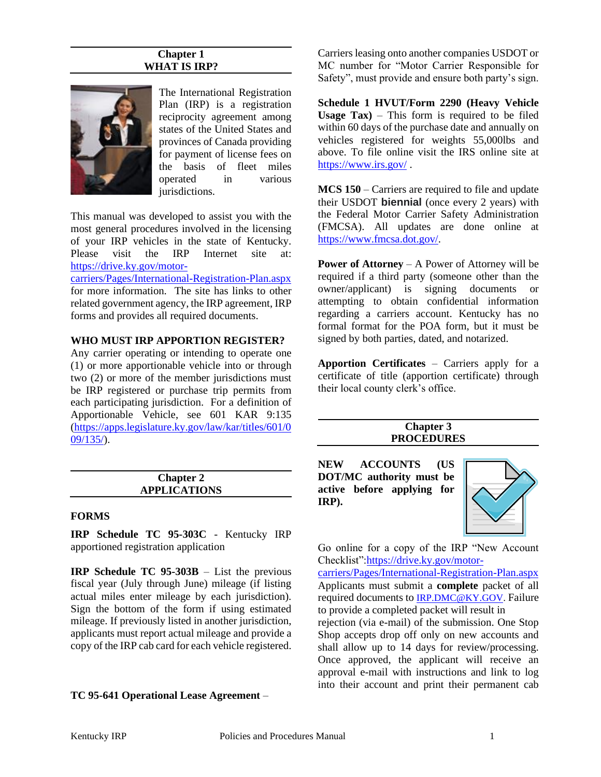#### **Chapter 1 WHAT IS IRP?**



The International Registration Plan (IRP) is a registration reciprocity agreement among states of the United States and provinces of Canada providing for payment of license fees on the basis of fleet miles operated in various jurisdictions.

This manual was developed to assist you with the most general procedures involved in the licensing of your IRP vehicles in the state of Kentucky. Please visit the IRP Internet site at: [https://drive.ky.gov/motor-](https://drive.ky.gov/motor-carriers/Pages/International-Registration-Plan.aspx)

[carriers/Pages/International-Registration-Plan.aspx](https://drive.ky.gov/motor-carriers/Pages/International-Registration-Plan.aspx) for more information. The site has links to other related government agency, the IRP agreement, IRP forms and provides all required documents.

#### **WHO MUST IRP APPORTION REGISTER?**

Any carrier operating or intending to operate one (1) or more apportionable vehicle into or through two (2) or more of the member jurisdictions must be IRP registered or purchase trip permits from each participating jurisdiction. For a definition of Apportionable Vehicle, see 601 KAR 9:135 [\(https://apps.legislature.ky.gov/law/kar/titles/601/0](https://apps.legislature.ky.gov/law/kar/titles/601/009/135/)  $09/135/$ .

| <b>Chapter 2</b>    |  |
|---------------------|--|
| <b>APPLICATIONS</b> |  |

#### **FORMS**

**IRP Schedule TC 95-303C** - Kentucky IRP apportioned registration application

**IRP Schedule TC 95-303B** – List the previous fiscal year (July through June) mileage (if listing actual miles enter mileage by each jurisdiction). Sign the bottom of the form if using estimated mileage. If previously listed in another jurisdiction, applicants must report actual mileage and provide a copy of the IRP cab card for each vehicle registered.

**TC 95-641 Operational Lease Agreement** –

Carriers leasing onto another companies USDOT or MC number for "Motor Carrier Responsible for Safety", must provide and ensure both party's sign.

**Schedule 1 HVUT/Form 2290 (Heavy Vehicle Usage Tax)** – This form is required to be filed within 60 days of the purchase date and annually on vehicles registered for weights 55,000lbs and above. To file online visit the IRS online site at <https://www.irs.gov/> .

**MCS 150** – Carriers are required to file and update their USDOT **biennial** (once every 2 years) with the Federal Motor Carrier Safety Administration (FMCSA). All updates are done online at [https://www.fmcsa.dot.gov/.](https://www.fmcsa.dot.gov/)

**Power of Attorney** – A Power of Attorney will be required if a third party (someone other than the owner/applicant) is signing documents or attempting to obtain confidential information regarding a carriers account. Kentucky has no formal format for the POA form, but it must be signed by both parties, dated, and notarized.

**Apportion Certificates** – Carriers apply for a certificate of title (apportion certificate) through their local county clerk's office.

#### **Chapter 3 PROCEDURES**

**NEW ACCOUNTS (US DOT/MC authority must be active before applying for IRP).**



Go online for a copy of the IRP "New Account Checklist"[:https://drive.ky.gov/motor-](https://drive.ky.gov/motor-carriers/Pages/International-Registration-Plan.aspx)

[carriers/Pages/International-Registration-Plan.aspx](https://drive.ky.gov/motor-carriers/Pages/International-Registration-Plan.aspx) Applicants must submit a **complete** packet of all required documents to [IRP.DMC@KY.GOV.](mailto:IRP.DMC@KY.GOV) Failure to provide a completed packet will result in

rejection (via e-mail) of the submission. One Stop Shop accepts drop off only on new accounts and shall allow up to 14 days for review/processing. Once approved, the applicant will receive an approval e-mail with instructions and link to log into their account and print their permanent cab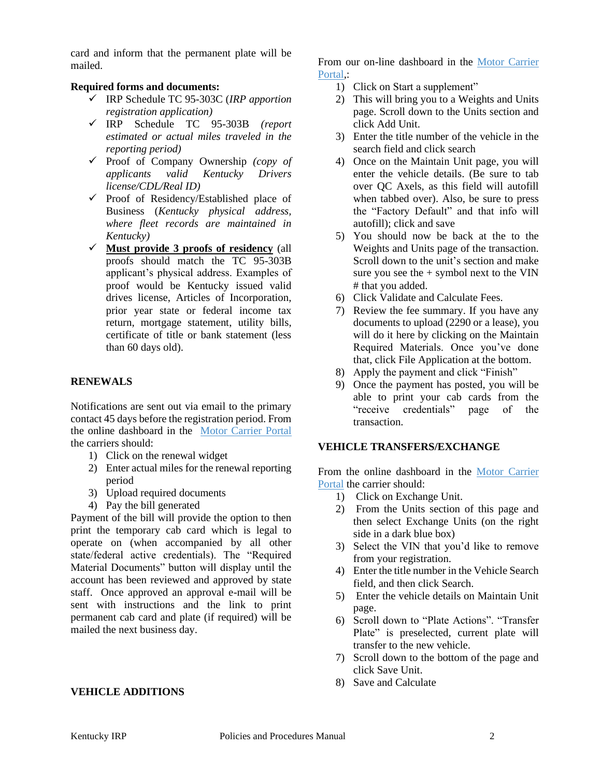card and inform that the permanent plate will be mailed.

#### **Required forms and documents:**

- ✓ IRP Schedule TC 95-303C (*IRP apportion registration application)*
- ✓ IRP Schedule TC 95-303B *(report estimated or actual miles traveled in the reporting period)*
- ✓ Proof of Company Ownership *(copy of applicants valid Kentucky Drivers license/CDL/Real ID)*
- $\checkmark$  Proof of Residency/Established place of Business (*Kentucky physical address, where fleet records are maintained in Kentucky)*
- ✓ **Must provide 3 proofs of residency** (all proofs should match the TC 95-303B applicant's physical address. Examples of proof would be Kentucky issued valid drives license, Articles of Incorporation, prior year state or federal income tax return, mortgage statement, utility bills, certificate of title or bank statement (less than 60 days old).

# **RENEWALS**

Notifications are sent out via email to the primary contact 45 days before the registration period. From the online dashboard in the [Motor Carrier Portal](https://apps.transportation.ky.gov/MotorCarrierPortal/) the carriers should:

- 1) Click on the renewal widget
- 2) Enter actual miles for the renewal reporting period
- 3) Upload required documents
- 4) Pay the bill generated

Payment of the bill will provide the option to then print the temporary cab card which is legal to operate on (when accompanied by all other state/federal active credentials). The "Required Material Documents" button will display until the account has been reviewed and approved by state staff. Once approved an approval e-mail will be sent with instructions and the link to print permanent cab card and plate (if required) will be mailed the next business day.

#### **VEHICLE ADDITIONS**

From our on-line dashboard in the [Motor Carrier](https://apps.transportation.ky.gov/MotorCarrierPortal/)  Portal:

- 1) Click on Start a supplement"
- 2) This will bring you to a Weights and Units page. Scroll down to the Units section and click Add Unit.
- 3) Enter the title number of the vehicle in the search field and click search
- 4) Once on the Maintain Unit page, you will enter the vehicle details. (Be sure to tab over QC Axels, as this field will autofill when tabbed over). Also, be sure to press the "Factory Default" and that info will autofill); click and save
- 5) You should now be back at the to the Weights and Units page of the transaction. Scroll down to the unit's section and make sure you see the  $+$  symbol next to the VIN # that you added.
- 6) Click Validate and Calculate Fees.
- 7) Review the fee summary. If you have any documents to upload (2290 or a lease), you will do it here by clicking on the Maintain Required Materials. Once you've done that, click File Application at the bottom.
- 8) Apply the payment and click "Finish"
- 9) Once the payment has posted, you will be able to print your cab cards from the "receive credentials" page of the transaction.

#### **VEHICLE TRANSFERS/EXCHANGE**

From the online dashboard in the [Motor Carrier](https://apps.transportation.ky.gov/MotorCarrierPortal/)  [Portal](https://apps.transportation.ky.gov/MotorCarrierPortal/) the carrier should:

- 1) Click on Exchange Unit.
- 2) From the Units section of this page and then select Exchange Units (on the right side in a dark blue box)
- 3) Select the VIN that you'd like to remove from your registration.
- 4) Enter the title number in the Vehicle Search field, and then click Search.
- 5) Enter the vehicle details on Maintain Unit page.
- 6) Scroll down to "Plate Actions". "Transfer Plate" is preselected, current plate will transfer to the new vehicle.
- 7) Scroll down to the bottom of the page and click Save Unit.
- 8) Save and Calculate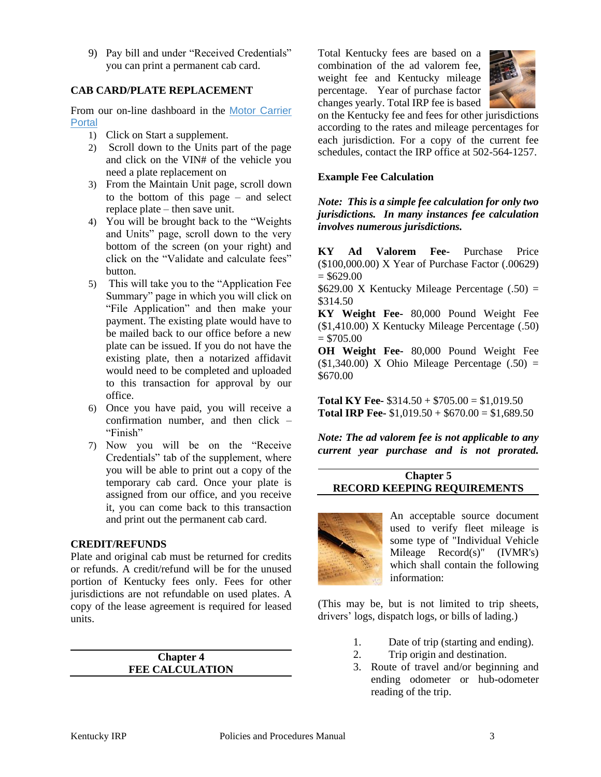9) Pay bill and under "Received Credentials" you can print a permanent cab card.

#### **CAB CARD/PLATE REPLACEMENT**

From our on-line dashboard in the [Motor Carrier](https://apps.transportation.ky.gov/MotorCarrierPortal/)  [Portal](https://apps.transportation.ky.gov/MotorCarrierPortal/)

- 1) Click on Start a supplement.
- 2) Scroll down to the Units part of the page and click on the VIN# of the vehicle you need a plate replacement on
- 3) From the Maintain Unit page, scroll down to the bottom of this page – and select replace plate – then save unit.
- 4) You will be brought back to the "Weights and Units" page, scroll down to the very bottom of the screen (on your right) and click on the "Validate and calculate fees" button.
- 5) This will take you to the "Application Fee Summary" page in which you will click on "File Application" and then make your payment. The existing plate would have to be mailed back to our office before a new plate can be issued. If you do not have the existing plate, then a notarized affidavit would need to be completed and uploaded to this transaction for approval by our office.
- 6) Once you have paid, you will receive a confirmation number, and then click – "Finish"
- 7) Now you will be on the "Receive Credentials" tab of the supplement, where you will be able to print out a copy of the temporary cab card. Once your plate is assigned from our office, and you receive it, you can come back to this transaction and print out the permanent cab card.

#### **CREDIT/REFUNDS**

Plate and original cab must be returned for credits or refunds. A credit/refund will be for the unused portion of Kentucky fees only. Fees for other jurisdictions are not refundable on used plates. A copy of the lease agreement is required for leased units.

> **Chapter 4 FEE CALCULATION**

Total Kentucky fees are based on a combination of the ad valorem fee, weight fee and Kentucky mileage percentage. Year of purchase factor changes yearly. Total IRP fee is based



on the Kentucky fee and fees for other jurisdictions according to the rates and mileage percentages for each jurisdiction. For a copy of the current fee schedules, contact the IRP office at 502-564-1257.

#### **Example Fee Calculation**

*Note: This is a simple fee calculation for only two jurisdictions. In many instances fee calculation involves numerous jurisdictions.*

**KY Ad Valorem Fee-** Purchase Price (\$100,000.00) X Year of Purchase Factor (.00629)  $= $629.00$ 

 $$629.00$  X Kentucky Mileage Percentage (.50) = \$314.50

**KY Weight Fee-** 80,000 Pound Weight Fee (\$1,410.00) X Kentucky Mileage Percentage (.50)  $= $705.00$ 

**OH Weight Fee-** 80,000 Pound Weight Fee  $(1,340.00)$  X Ohio Mileage Percentage  $(.50)$  = \$670.00

**Total KY Fee-** \$314.50 + \$705.00 = \$1,019.50 **Total IRP Fee-**  $$1,019.50 + $670.00 = $1,689.50$ 

*Note: The ad valorem fee is not applicable to any current year purchase and is not prorated.*

# **Chapter 5 RECORD KEEPING REQUIREMENTS**



An acceptable source document used to verify fleet mileage is some type of "Individual Vehicle Mileage Record(s)" (IVMR's) which shall contain the following information:

(This may be, but is not limited to trip sheets, drivers' logs, dispatch logs, or bills of lading.)

- 1. Date of trip (starting and ending).
- 2. Trip origin and destination.
- 3. Route of travel and/or beginning and ending odometer or hub-odometer reading of the trip.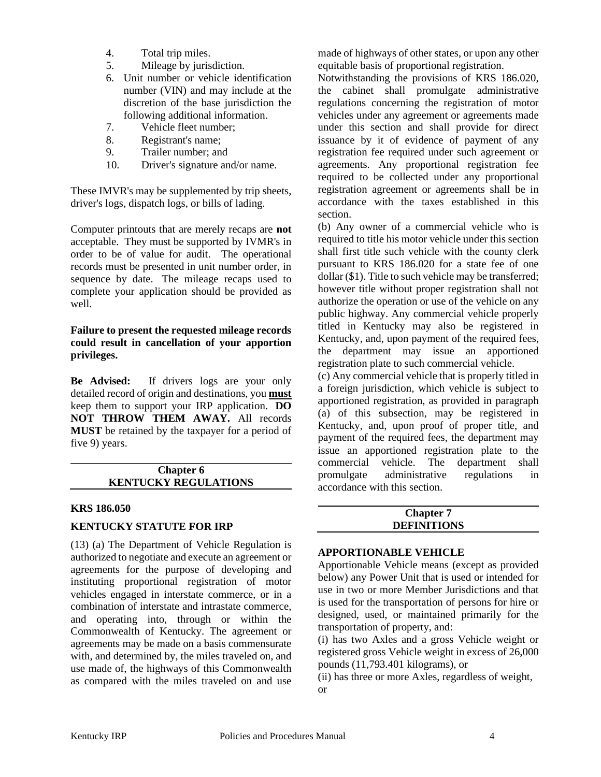- 4. Total trip miles.
- 5. Mileage by jurisdiction.
- 6. Unit number or vehicle identification number (VIN) and may include at the discretion of the base jurisdiction the following additional information.
- 7. Vehicle fleet number;
- 8. Registrant's name;
- 9. Trailer number; and
- 10. Driver's signature and/or name.

These IMVR's may be supplemented by trip sheets, driver's logs, dispatch logs, or bills of lading.

Computer printouts that are merely recaps are **not** acceptable. They must be supported by IVMR's in order to be of value for audit. The operational records must be presented in unit number order, in sequence by date. The mileage recaps used to complete your application should be provided as well.

#### **Failure to present the requested mileage records could result in cancellation of your apportion privileges.**

**Be Advised:** If drivers logs are your only detailed record of origin and destinations, you **must** keep them to support your IRP application. **DO NOT THROW THEM AWAY.** All records **MUST** be retained by the taxpayer for a period of five 9) years.

#### **Chapter 6 KENTUCKY REGULATIONS**

#### **KRS 186.050**

# **KENTUCKY STATUTE FOR IRP**

(13) (a) The Department of Vehicle Regulation is authorized to negotiate and execute an agreement or agreements for the purpose of developing and instituting proportional registration of motor vehicles engaged in interstate commerce, or in a combination of interstate and intrastate commerce, and operating into, through or within the Commonwealth of Kentucky. The agreement or agreements may be made on a basis commensurate with, and determined by, the miles traveled on, and use made of, the highways of this Commonwealth as compared with the miles traveled on and use

made of highways of other states, or upon any other equitable basis of proportional registration.

Notwithstanding the provisions of KRS 186.020, the cabinet shall promulgate administrative regulations concerning the registration of motor vehicles under any agreement or agreements made under this section and shall provide for direct issuance by it of evidence of payment of any registration fee required under such agreement or agreements. Any proportional registration fee required to be collected under any proportional registration agreement or agreements shall be in accordance with the taxes established in this section.

(b) Any owner of a commercial vehicle who is required to title his motor vehicle under this section shall first title such vehicle with the county clerk pursuant to KRS 186.020 for a state fee of one dollar (\$1). Title to such vehicle may be transferred; however title without proper registration shall not authorize the operation or use of the vehicle on any public highway. Any commercial vehicle properly titled in Kentucky may also be registered in Kentucky, and, upon payment of the required fees, the department may issue an apportioned registration plate to such commercial vehicle.

(c) Any commercial vehicle that is properly titled in a foreign jurisdiction, which vehicle is subject to apportioned registration, as provided in paragraph (a) of this subsection, may be registered in Kentucky, and, upon proof of proper title, and payment of the required fees, the department may issue an apportioned registration plate to the commercial vehicle. The department shall promulgate administrative regulations in accordance with this section.

# **Chapter 7 DEFINITIONS**

#### **APPORTIONABLE VEHICLE**

Apportionable Vehicle means (except as provided below) any Power Unit that is used or intended for use in two or more Member Jurisdictions and that is used for the transportation of persons for hire or designed, used, or maintained primarily for the transportation of property, and:

(i) has two Axles and a gross Vehicle weight or registered gross Vehicle weight in excess of 26,000 pounds (11,793.401 kilograms), or

(ii) has three or more Axles, regardless of weight, or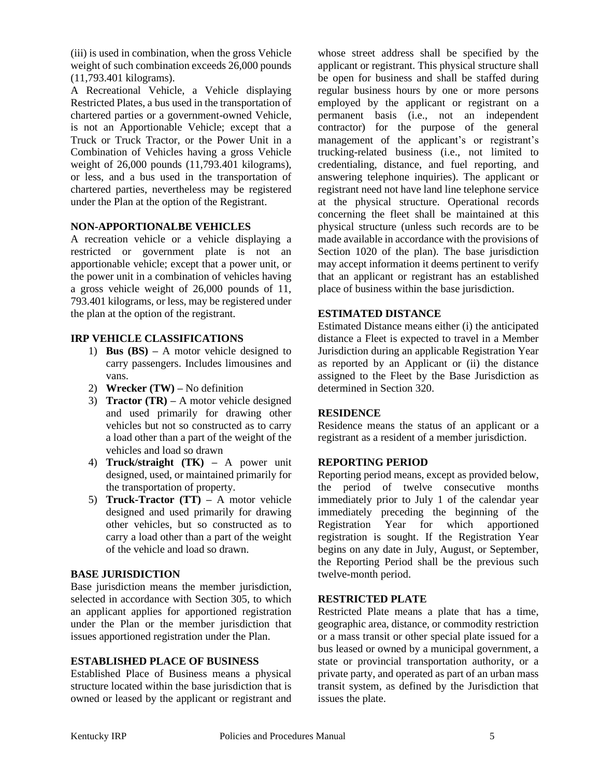(iii) is used in combination, when the gross Vehicle weight of such combination exceeds 26,000 pounds (11,793.401 kilograms).

A Recreational Vehicle, a Vehicle displaying Restricted Plates, a bus used in the transportation of chartered parties or a government-owned Vehicle, is not an Apportionable Vehicle; except that a Truck or Truck Tractor, or the Power Unit in a Combination of Vehicles having a gross Vehicle weight of 26,000 pounds (11,793.401 kilograms), or less, and a bus used in the transportation of chartered parties, nevertheless may be registered under the Plan at the option of the Registrant.

# **NON-APPORTIONALBE VEHICLES**

A recreation vehicle or a vehicle displaying a restricted or government plate is not an apportionable vehicle; except that a power unit, or the power unit in a combination of vehicles having a gross vehicle weight of 26,000 pounds of 11, 793.401 kilograms, or less, may be registered under the plan at the option of the registrant.

#### **IRP VEHICLE CLASSIFICATIONS**

- 1) **Bus (BS) –** A motor vehicle designed to carry passengers. Includes limousines and vans.
- 2) **Wrecker (TW) –** No definition
- 3) **Tractor (TR) –** A motor vehicle designed and used primarily for drawing other vehicles but not so constructed as to carry a load other than a part of the weight of the vehicles and load so drawn
- 4) **Truck/straight (TK) –** A power unit designed, used, or maintained primarily for the transportation of property.
- 5) **Truck-Tractor (TT) –** A motor vehicle designed and used primarily for drawing other vehicles, but so constructed as to carry a load other than a part of the weight of the vehicle and load so drawn.

# **BASE JURISDICTION**

Base jurisdiction means the member jurisdiction, selected in accordance with Section 305, to which an applicant applies for apportioned registration under the Plan or the member jurisdiction that issues apportioned registration under the Plan.

# **ESTABLISHED PLACE OF BUSINESS**

Established Place of Business means a physical structure located within the base jurisdiction that is owned or leased by the applicant or registrant and whose street address shall be specified by the applicant or registrant. This physical structure shall be open for business and shall be staffed during regular business hours by one or more persons employed by the applicant or registrant on a permanent basis (i.e., not an independent contractor) for the purpose of the general management of the applicant's or registrant's trucking-related business (i.e., not limited to credentialing, distance, and fuel reporting, and answering telephone inquiries). The applicant or registrant need not have land line telephone service at the physical structure. Operational records concerning the fleet shall be maintained at this physical structure (unless such records are to be made available in accordance with the provisions of Section 1020 of the plan). The base jurisdiction may accept information it deems pertinent to verify that an applicant or registrant has an established place of business within the base jurisdiction.

#### **ESTIMATED DISTANCE**

Estimated Distance means either (i) the anticipated distance a Fleet is expected to travel in a Member Jurisdiction during an applicable Registration Year as reported by an Applicant or (ii) the distance assigned to the Fleet by the Base Jurisdiction as determined in Section 320.

# **RESIDENCE**

Residence means the status of an applicant or a registrant as a resident of a member jurisdiction.

#### **REPORTING PERIOD**

Reporting period means, except as provided below, the period of twelve consecutive months immediately prior to July 1 of the calendar year immediately preceding the beginning of the Registration Year for which apportioned registration is sought. If the Registration Year begins on any date in July, August, or September, the Reporting Period shall be the previous such twelve-month period.

#### **RESTRICTED PLATE**

Restricted Plate means a plate that has a time, geographic area, distance, or commodity restriction or a mass transit or other special plate issued for a bus leased or owned by a municipal government, a state or provincial transportation authority, or a private party, and operated as part of an urban mass transit system, as defined by the Jurisdiction that issues the plate.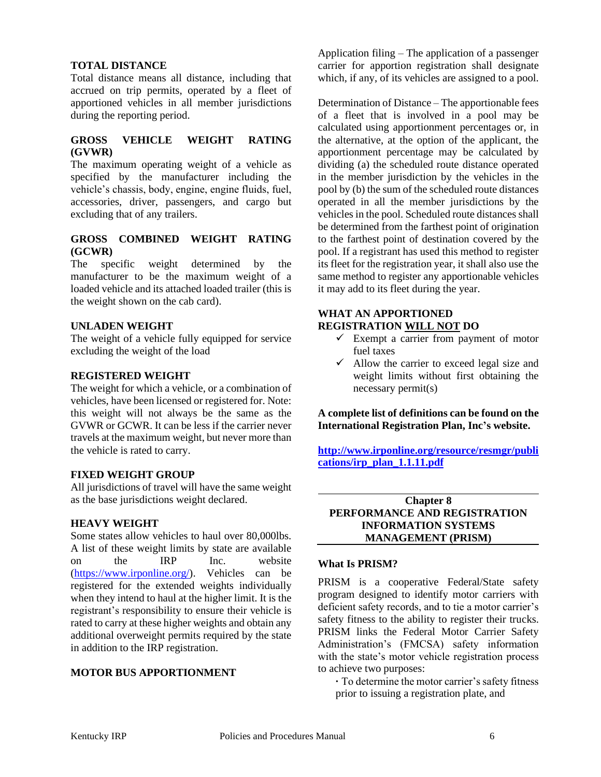#### **TOTAL DISTANCE**

Total distance means all distance, including that accrued on trip permits, operated by a fleet of apportioned vehicles in all member jurisdictions during the reporting period.

#### **GROSS VEHICLE WEIGHT RATING (GVWR)**

The maximum operating weight of a vehicle as specified by the manufacturer including the vehicle's chassis, body, engine, engine fluids, fuel, accessories, driver, passengers, and cargo but excluding that of any trailers.

#### **GROSS COMBINED WEIGHT RATING (GCWR)**

The specific weight determined by the manufacturer to be the maximum weight of a loaded vehicle and its attached loaded trailer (this is the weight shown on the cab card).

#### **UNLADEN WEIGHT**

The weight of a vehicle fully equipped for service excluding the weight of the load

#### **REGISTERED WEIGHT**

The weight for which a vehicle, or a combination of vehicles, have been licensed or registered for. Note: this weight will not always be the same as the GVWR or GCWR. It can be less if the carrier never travels at the maximum weight, but never more than the vehicle is rated to carry.

#### **FIXED WEIGHT GROUP**

All jurisdictions of travel will have the same weight as the base jurisdictions weight declared.

#### **HEAVY WEIGHT**

Some states allow vehicles to haul over 80,000lbs. A list of these weight limits by state are available on the IRP Inc. website [\(https://www.irponline.org/\)](https://www.irponline.org/). Vehicles can be registered for the extended weights individually when they intend to haul at the higher limit. It is the registrant's responsibility to ensure their vehicle is rated to carry at these higher weights and obtain any additional overweight permits required by the state in addition to the IRP registration.

#### **MOTOR BUS APPORTIONMENT**

Application filing – The application of a passenger carrier for apportion registration shall designate which, if any, of its vehicles are assigned to a pool.

Determination of Distance – The apportionable fees of a fleet that is involved in a pool may be calculated using apportionment percentages or, in the alternative, at the option of the applicant, the apportionment percentage may be calculated by dividing (a) the scheduled route distance operated in the member jurisdiction by the vehicles in the pool by (b) the sum of the scheduled route distances operated in all the member jurisdictions by the vehicles in the pool. Scheduled route distances shall be determined from the farthest point of origination to the farthest point of destination covered by the pool. If a registrant has used this method to register its fleet for the registration year, it shall also use the same method to register any apportionable vehicles it may add to its fleet during the year.

#### **WHAT AN APPORTIONED REGISTRATION WILL NOT DO**

- $\checkmark$  Exempt a carrier from payment of motor fuel taxes
- $\checkmark$  Allow the carrier to exceed legal size and weight limits without first obtaining the necessary permit(s)

**A complete list of definitions can be found on the International Registration Plan, Inc's website.**

**[http://www.irponline.org/resource/resmgr/publi](http://www.irponline.org/resource/resmgr/publications/irp_plan_1.1.11.pdf) [cations/irp\\_plan\\_1.1.11.pdf](http://www.irponline.org/resource/resmgr/publications/irp_plan_1.1.11.pdf)**

#### **Chapter 8 PERFORMANCE AND REGISTRATION INFORMATION SYSTEMS MANAGEMENT (PRISM)**

#### **What Is PRISM?**

PRISM is a cooperative Federal/State safety program designed to identify motor carriers with deficient safety records, and to tie a motor carrier's safety fitness to the ability to register their trucks. PRISM links the Federal Motor Carrier Safety Administration's (FMCSA) safety information with the state's motor vehicle registration process to achieve two purposes:

**·** To determine the motor carrier's safety fitness prior to issuing a registration plate, and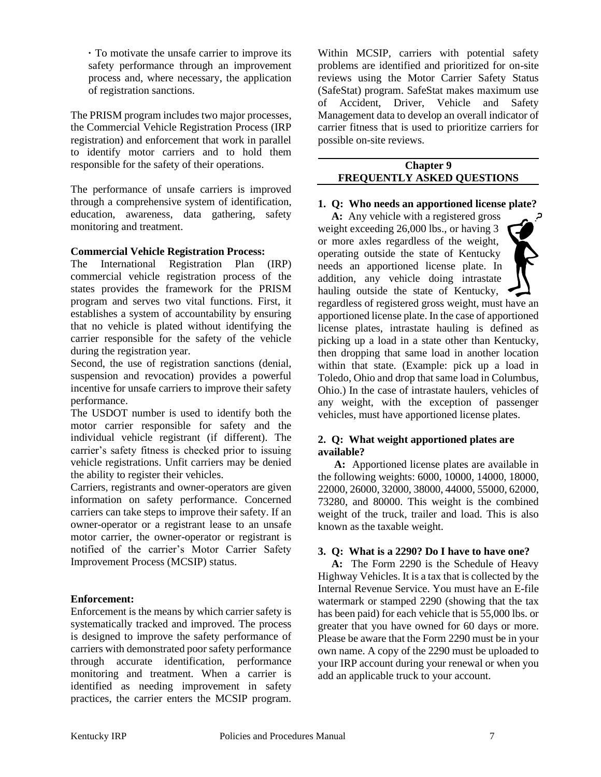**·** To motivate the unsafe carrier to improve its safety performance through an improvement process and, where necessary, the application of registration sanctions.

The PRISM program includes two major processes, the Commercial Vehicle Registration Process (IRP registration) and enforcement that work in parallel to identify motor carriers and to hold them responsible for the safety of their operations.

The performance of unsafe carriers is improved through a comprehensive system of identification, education, awareness, data gathering, safety monitoring and treatment.

#### **Commercial Vehicle Registration Process:**

The International Registration Plan (IRP) commercial vehicle registration process of the states provides the framework for the PRISM program and serves two vital functions. First, it establishes a system of accountability by ensuring that no vehicle is plated without identifying the carrier responsible for the safety of the vehicle during the registration year.

Second, the use of registration sanctions (denial, suspension and revocation) provides a powerful incentive for unsafe carriers to improve their safety performance.

The USDOT number is used to identify both the motor carrier responsible for safety and the individual vehicle registrant (if different). The carrier's safety fitness is checked prior to issuing vehicle registrations. Unfit carriers may be denied the ability to register their vehicles.

Carriers, registrants and owner-operators are given information on safety performance. Concerned carriers can take steps to improve their safety. If an owner-operator or a registrant lease to an unsafe motor carrier, the owner-operator or registrant is notified of the carrier's Motor Carrier Safety Improvement Process (MCSIP) status.

#### **Enforcement:**

Enforcement is the means by which carrier safety is systematically tracked and improved. The process is designed to improve the safety performance of carriers with demonstrated poor safety performance through accurate identification, performance monitoring and treatment. When a carrier is identified as needing improvement in safety practices, the carrier enters the MCSIP program.

Within MCSIP, carriers with potential safety problems are identified and prioritized for on-site reviews using the Motor Carrier Safety Status (SafeStat) program. SafeStat makes maximum use of Accident, Driver, Vehicle and Safety Management data to develop an overall indicator of carrier fitness that is used to prioritize carriers for possible on-site reviews.

#### **Chapter 9 FREQUENTLY ASKED QUESTIONS**

#### **1. Q: Who needs an apportioned license plate?**

 **A:** Any vehicle with a registered gross weight exceeding 26,000 lbs., or having 3 or more axles regardless of the weight, operating outside the state of Kentucky needs an apportioned license plate. In addition, any vehicle doing intrastate hauling outside the state of Kentucky, regardless of registered gross weight, must have an apportioned license plate. In the case of apportioned license plates, intrastate hauling is defined as picking up a load in a state other than Kentucky, then dropping that same load in another location within that state. (Example: pick up a load in Toledo, Ohio and drop that same load in Columbus, Ohio.) In the case of intrastate haulers, vehicles of any weight, with the exception of passenger vehicles, must have apportioned license plates.

#### **2. Q: What weight apportioned plates are available?**

 **A:** Apportioned license plates are available in the following weights: 6000, 10000, 14000, 18000, 22000, 26000, 32000, 38000, 44000, 55000, 62000, 73280, and 80000. This weight is the combined weight of the truck, trailer and load. This is also known as the taxable weight.

#### **3. Q: What is a 2290? Do I have to have one?**

 **A:** The Form 2290 is the Schedule of Heavy Highway Vehicles. It is a tax that is collected by the Internal Revenue Service. You must have an E-file watermark or stamped 2290 (showing that the tax has been paid) for each vehicle that is 55,000 lbs. or greater that you have owned for 60 days or more. Please be aware that the Form 2290 must be in your own name. A copy of the 2290 must be uploaded to your IRP account during your renewal or when you add an applicable truck to your account.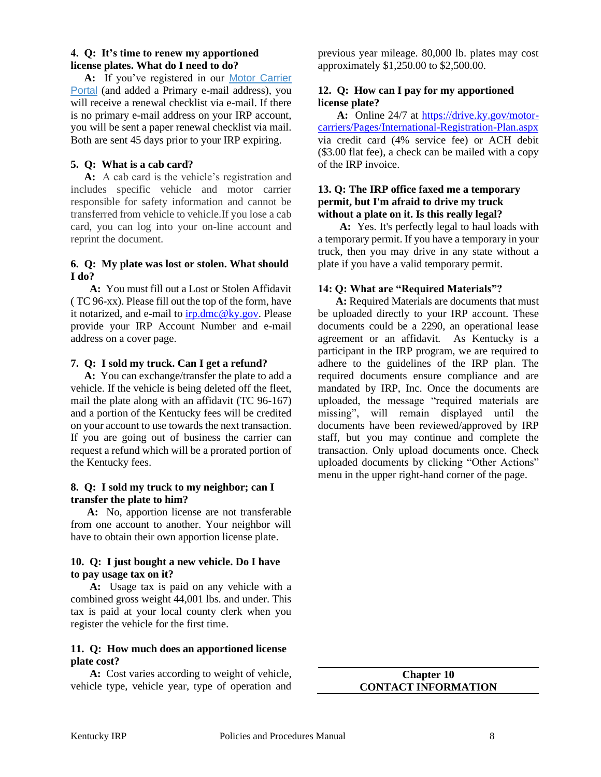#### **4. Q: It's time to renew my apportioned license plates. What do I need to do?**

 **A:** If you've registered in our [Motor Carrier](https://apps.transportation.ky.gov/MotorCarrierPortal/)  [Portal](https://apps.transportation.ky.gov/MotorCarrierPortal/) (and added a Primary e-mail address), you will receive a renewal checklist via e-mail. If there is no primary e-mail address on your IRP account, you will be sent a paper renewal checklist via mail. Both are sent 45 days prior to your IRP expiring.

#### **5. Q: What is a cab card?**

 **A:** A cab card is the vehicle's registration and includes specific vehicle and motor carrier responsible for safety information and cannot be transferred from vehicle to vehicle.If you lose a cab card, you can log into your on-line account and reprint the document.

#### **6. Q: My plate was lost or stolen. What should I do?**

 **A:** You must fill out a Lost or Stolen Affidavit ( TC 96-xx). Please fill out the top of the form, have it notarized, and e-mail to  $irp.dmc@ky.gov$ . Please provide your IRP Account Number and e-mail address on a cover page.

#### **7. Q: I sold my truck. Can I get a refund?**

 **A:** You can exchange/transfer the plate to add a vehicle. If the vehicle is being deleted off the fleet, mail the plate along with an affidavit (TC 96-167) and a portion of the Kentucky fees will be credited on your account to use towards the next transaction. If you are going out of business the carrier can request a refund which will be a prorated portion of the Kentucky fees.

#### **8. Q: I sold my truck to my neighbor; can I transfer the plate to him?**

 **A:** No, apportion license are not transferable from one account to another. Your neighbor will have to obtain their own apportion license plate.

#### **10. Q: I just bought a new vehicle. Do I have to pay usage tax on it?**

 **A:** Usage tax is paid on any vehicle with a combined gross weight 44,001 lbs. and under. This tax is paid at your local county clerk when you register the vehicle for the first time.

#### **11. Q: How much does an apportioned license plate cost?**

 **A:** Cost varies according to weight of vehicle, vehicle type, vehicle year, type of operation and previous year mileage. 80,000 lb. plates may cost approximately \$1,250.00 to \$2,500.00.

#### **12. Q: How can I pay for my apportioned license plate?**

 **A:** Online 24/7 at [https://drive.ky.gov/motor](https://drive.ky.gov/motor-carriers/Pages/International-Registration-Plan.aspx)[carriers/Pages/International-Registration-Plan.aspx](https://drive.ky.gov/motor-carriers/Pages/International-Registration-Plan.aspx) via credit card (4% service fee) or ACH debit (\$3.00 flat fee), a check can be mailed with a copy of the IRP invoice.

#### **13. Q: The IRP office faxed me a temporary permit, but I'm afraid to drive my truck without a plate on it. Is this really legal?**

 **A:** Yes. It's perfectly legal to haul loads with a temporary permit. If you have a temporary in your truck, then you may drive in any state without a plate if you have a valid temporary permit.

# **14: Q: What are "Required Materials"?**

**A:** Required Materials are documents that must be uploaded directly to your IRP account. These documents could be a 2290, an operational lease agreement or an affidavit. As Kentucky is a participant in the IRP program, we are required to adhere to the guidelines of the IRP plan. The required documents ensure compliance and are mandated by IRP, Inc. Once the documents are uploaded, the message "required materials are missing", will remain displayed until the documents have been reviewed/approved by IRP staff, but you may continue and complete the transaction. Only upload documents once. Check uploaded documents by clicking "Other Actions" menu in the upper right-hand corner of the page.

> **Chapter 10 CONTACT INFORMATION**